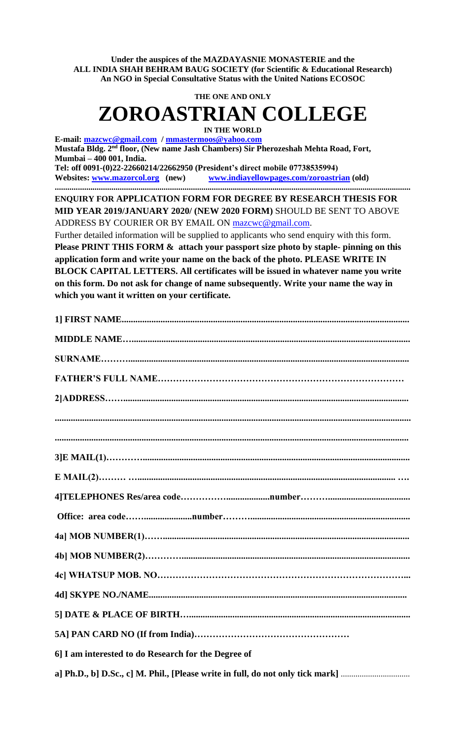**Under the auspices of the MAZDAYASNIE MONASTERIE and the ALL INDIA SHAH BEHRAM BAUG SOCIETY (for Scientific & Educational Research) An NGO in Special Consultative Status with the United Nations ECOSOC**

**THE ONE AND ONLY**

## **ZOROASTRIAN COLLEGE**

**IN THE WORLD**

**E-mail: [mazcwc@gmail.com](mailto:mazcwc@gmail.com) [/ mmastermoos@yahoo.com](mailto:mmastermoos@yahoo.com) Mustafa Bldg. 2nd floor, (New name Jash Chambers) Sir Pherozeshah Mehta Road, Fort, Mumbai – 400 001, India.** 

**Tel: off 0091-(0)22-22660214/22662950 (President's direct mobile 07738535994) Websites: [www.mazorcol.org](http://www.mazorcol.org/) (new) [www.indiayellowpages.com/zoroastrian](http://www.indiayellowpages.com/zoroastrian) (old) ..........................................................................................................................................................................**

**ENQUIRY FOR APPLICATION FORM FOR DEGREE BY RESEARCH THESIS FOR MID YEAR 2019/JANUARY 2020/ (NEW 2020 FORM)** SHOULD BE SENT TO ABOVE ADDRESS BY COURIER OR BY EMAIL ON [mazcwc@gmail.com.](mailto:mazcwc@gmail.com)

Further detailed information will be supplied to applicants who send enquiry with this form. **Please PRINT THIS FORM & attach your passport size photo by staple- pinning on this application form and write your name on the back of the photo. PLEASE WRITE IN BLOCK CAPITAL LETTERS. All certificates will be issued in whatever name you write on this form. Do not ask for change of name subsequently. Write your name the way in which you want it written on your certificate.** 

| 6] I am interested to do Research for the Degree of                            |
|--------------------------------------------------------------------------------|
| a] Ph.D., b] D.Sc., c] M. Phil., [Please write in full, do not only tick mark] |